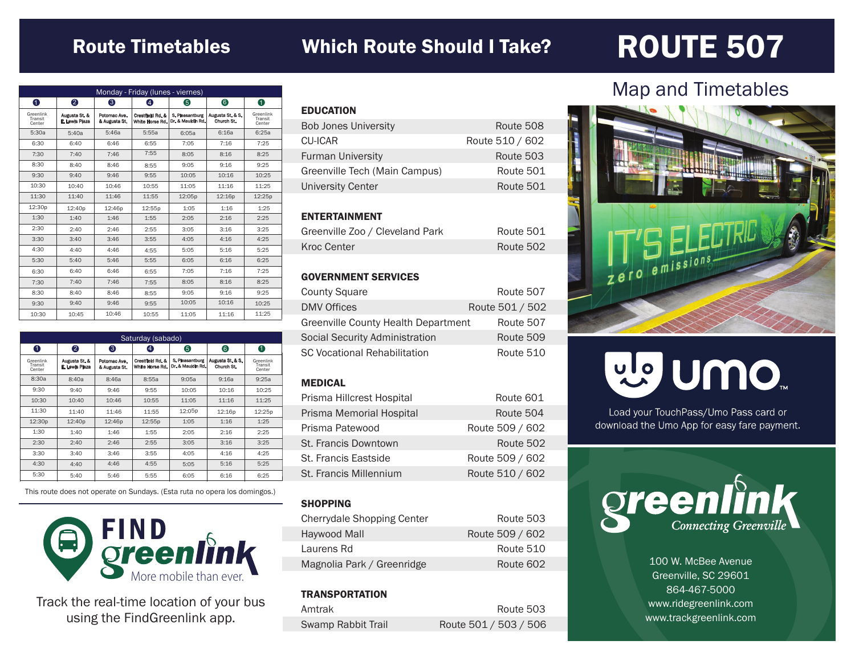## Route Timetables

## Which Route Should I Take? ROUTE 507

| Monday - Friday (lunes - viernes) |                                 |                               |                                     |                                      |                                |                                |
|-----------------------------------|---------------------------------|-------------------------------|-------------------------------------|--------------------------------------|--------------------------------|--------------------------------|
| 0                                 | 2                               | 6                             | 4                                   | 6                                    | 6                              | 0                              |
| Greenlink<br>Transit<br>Center    | Augusta St. &<br>E. Lewis Plaza | Potomac Ave.<br>& Augusta St. | Crestfield Rd. &<br>White Horse Rd. | S. Pleasantburg<br>Dr. & Mauldin Rd. | Augusta St. & S.<br>Church St. | Greenlink<br>Transit<br>Center |
| 5:30a                             | 5:40a                           | 5:46a                         | 5:55a                               | 6:05a                                | 6:16a                          | 6:25a                          |
| 6:30                              | 6:40                            | 6:46                          | 6:55                                | 7:05                                 | 7:16                           | 7:25                           |
| 7:30                              | 7:40                            | 7:46                          | 7:55                                | 8:05                                 | 8:16                           | 8:25                           |
| 8:30                              | 8:40                            | 8:46                          | 8:55                                | 9:05                                 | 9:16                           | 9:25                           |
| 9:30                              | 9:40                            | 9:46                          | 9:55                                | 10:05                                | 10:16                          | 10:25                          |
| 10:30                             | 10:40                           | 10:46                         | 10:55                               | 11:05                                | 11:16                          | 11:25                          |
| 11:30                             | 11:40                           | 11:46                         | 11:55                               | 12:05p                               | 12:16p                         | 12:25p                         |
| 12:30p                            | 12:40p                          | 12:46p                        | 12:55p                              | 1:05                                 | 1:16                           | 1:25                           |
| 1:30                              | 1:40                            | 1:46                          | 1:55                                | 2:05                                 | 2:16                           | 2:25                           |
| 2:30                              | 2:40                            | 2:46                          | 2:55                                | 3:05                                 | 3:16                           | 3:25                           |
| 3:30                              | 3:40                            | 3:46                          | 3:55                                | 4:05                                 | 4:16                           | 4:25                           |
| 4:30                              | 4:40                            | 4:46                          | 4:55                                | 5:05                                 | 5:16                           | 5:25                           |
| 5:30                              | 5:40                            | 5:46                          | 5:55                                | 6:05                                 | 6:16                           | 6:25                           |
| 6:30                              | 6:40                            | 6:46                          | 6:55                                | 7:05                                 | 7:16                           | 7:25                           |
| 7:30                              | 7:40                            | 7:46                          | 7:55                                | 8:05                                 | 8:16                           | 8:25                           |
| 8:30                              | 8:40                            | 8:46                          | 8:55                                | 9:05                                 | 9:16                           | 9:25                           |
| 9:30                              | 9:40                            | 9:46                          | 9:55                                | 10:05                                | 10:16                          | 10:25                          |
| 10:30                             | 10:45                           | 10:46                         | 10:55                               | 11:05                                | 11:16                          | 11:25                          |

| Saturday (sabado)              |                                 |                               |                                     |                                      |                                |                                |
|--------------------------------|---------------------------------|-------------------------------|-------------------------------------|--------------------------------------|--------------------------------|--------------------------------|
| 0                              | 2                               | ❸                             | $\left( 4\right)$                   | 6                                    | 6                              | 0                              |
| Greenlink<br>Transit<br>Center | Augusta St. &<br>E. Lewis Plaza | Potomac Ave.<br>& Augusta St. | Crestfield Rd. &<br>White Horse Rd. | S. Pleasantbung<br>Dr. & Mauldin Rd. | Augusta St. & S.<br>Church St. | Greenlink<br>Transit<br>Center |
| 8:30a                          | 8:40a                           | 8:46a                         | 8:55a                               | 9:05a                                | 9:16a                          | 9:25a                          |
| 9:30                           | 9:40                            | 9:46                          | 9:55                                | 10:05                                | 10:16                          | 10:25                          |
| 10:30                          | 10:40                           | 10:46                         | 10:55                               | 11:05                                | 11:16                          | 11:25                          |
| 11:30                          | 11:40                           | 11:46                         | 11:55                               | 12:05p                               | 12:16p                         | 12:25p                         |
| 12:30 <sub>p</sub>             | 12:40 <sub>p</sub>              | 12:46p                        | 12:55p                              | 1:05                                 | 1:16                           | 1:25                           |
| 1:30                           | 1:40                            | 1:46                          | 1:55                                | 2:05                                 | 2:16                           | 2:25                           |
| 2:30                           | 2:40                            | 2:46                          | 2:55                                | 3:05                                 | 3:16                           | 3:25                           |
| 3:30                           | 3:40                            | 3:46                          | 3:55                                | 4:05                                 | 4:16                           | 4:25                           |
| 4:30                           | 4:40                            | 4:46                          | 4:55                                | 5:05                                 | 5:16                           | 5:25                           |
| 5:30                           | 5:40                            | 5:46                          | 5:55                                | 6:05                                 | 6:16                           | 6:25                           |

This route does not operate on Sundays. (Esta ruta no opera los domingos.)



Track the real-time location of your bus using the FindGreenlink app.

| <b>EDUCATION</b>              |                 |
|-------------------------------|-----------------|
| <b>Bob Jones University</b>   | Route 508       |
| CU-ICAR                       | Route 510 / 602 |
| <b>Furman University</b>      | Route 503       |
| Greenville Tech (Main Campus) | Route 501       |
| University Center             | Route 501       |
|                               |                 |

### ENTERTAINMENT

| Greenville Zoo / Cleveland Park | Route 501 |
|---------------------------------|-----------|
| Kroc Center                     | Route 502 |

#### GOVERNMENT SERVICES

| <b>County Square</b>                | Route 507       |
|-------------------------------------|-----------------|
| <b>DMV Offices</b>                  | Route 501 / 502 |
| Greenville County Health Department | Route 507       |
| Social Security Administration      | Route 509       |
| <b>SC Vocational Rehabilitation</b> | Route 510       |

#### MEDICAL

| Prisma Hillcrest Hospital | Route 601       |
|---------------------------|-----------------|
| Prisma Memorial Hospital  | Route 504       |
| Prisma Patewood           | Route 509 / 602 |
| St. Francis Downtown      | Route 502       |
| St. Francis Eastside      | Route 509 / 602 |
| St. Francis Millennium    | Route 510 / 602 |

#### **SHOPPING**

| <b>Cherrydale Shopping Center</b> | Route 503       |
|-----------------------------------|-----------------|
| Haywood Mall                      | Route 509 / 602 |
| Laurens Rd                        | Route 510       |
| Magnolia Park / Greenridge        | Route 602       |

#### **TRANSPORTATION**

| Amtrak             | Route 503             |
|--------------------|-----------------------|
| Swamp Rabbit Trail | Route 501 / 503 / 506 |

## Map and Timetables



# vle UMO

Load your TouchPass/Umo Pass card or download the Umo App for easy fare payment.



100 W. McBee Avenue Greenville, SC 29601 864-467-5000 www.ridegreenlink.com www.trackgreenlink.com